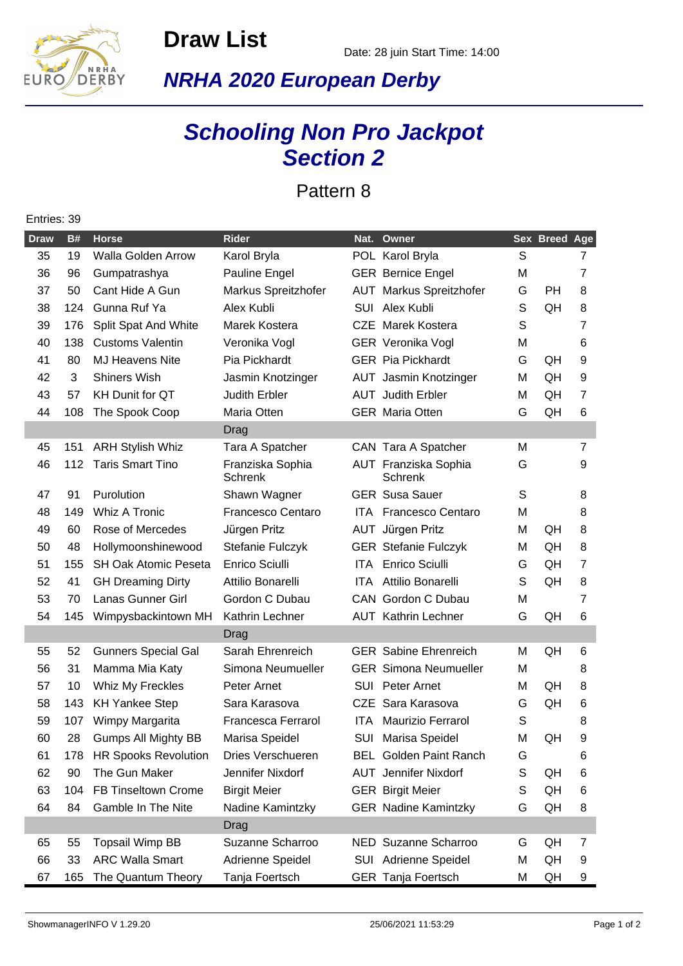

**Draw List**

## **NRHA 2020 European Derby**

## **Schooling Non Pro Jackpot Section 2**

Pattern 8

## Entries: 39

| <b>Draw</b> | <b>B#</b> | <b>Horse</b>                | <b>Rider</b>                       | Nat.  | Owner                                  |   | <b>Sex Breed Age</b> |                |
|-------------|-----------|-----------------------------|------------------------------------|-------|----------------------------------------|---|----------------------|----------------|
| 35          | 19        | Walla Golden Arrow          | Karol Bryla                        |       | POL Karol Bryla                        | S |                      | 7              |
| 36          | 96        | Gumpatrashya                | Pauline Engel                      |       | <b>GER Bernice Engel</b>               | M |                      | $\overline{7}$ |
| 37          | 50        | Cant Hide A Gun             | Markus Spreitzhofer                |       | <b>AUT</b> Markus Spreitzhofer         | G | PH                   | 8              |
| 38          | 124       | Gunna Ruf Ya                | Alex Kubli                         | SUI   | Alex Kubli                             | S | QH                   | 8              |
| 39          | 176       | Split Spat And White        | Marek Kostera                      |       | <b>CZE</b> Marek Kostera               | S |                      | 7              |
| 40          | 138       | <b>Customs Valentin</b>     | Veronika Vogl                      |       | <b>GER</b> Veronika Vogl               | M |                      | 6              |
| 41          | 80        | <b>MJ Heavens Nite</b>      | Pia Pickhardt                      |       | <b>GER Pia Pickhardt</b>               | G | QH                   | 9              |
| 42          | 3         | <b>Shiners Wish</b>         | Jasmin Knotzinger                  |       | AUT Jasmin Knotzinger                  | М | QH                   | 9              |
| 43          | 57        | <b>KH Dunit for QT</b>      | <b>Judith Erbler</b>               |       | <b>AUT</b> Judith Erbler               | М | QH                   | $\overline{7}$ |
| 44          | 108       | The Spook Coop              | Maria Otten                        |       | <b>GER</b> Maria Otten                 | G | QH                   | 6              |
|             |           |                             | Drag                               |       |                                        |   |                      |                |
| 45          | 151       | <b>ARH Stylish Whiz</b>     | Tara A Spatcher                    |       | CAN Tara A Spatcher                    | M |                      | $\overline{7}$ |
| 46          | 112       | <b>Taris Smart Tino</b>     | Franziska Sophia<br><b>Schrenk</b> |       | AUT Franziska Sophia<br><b>Schrenk</b> | G |                      | 9              |
| 47          | 91        | Purolution                  | Shawn Wagner                       |       | <b>GER</b> Susa Sauer                  | S |                      | 8              |
| 48          | 149       | <b>Whiz A Tronic</b>        | <b>Francesco Centaro</b>           |       | <b>ITA</b> Francesco Centaro           | Μ |                      | 8              |
| 49          | 60        | Rose of Mercedes            | Jürgen Pritz                       |       | AUT Jürgen Pritz                       | М | QH                   | 8              |
| 50          | 48        | Hollymoonshinewood          | Stefanie Fulczyk                   |       | <b>GER Stefanie Fulczyk</b>            | М | QH                   | 8              |
| 51          | 155       | <b>SH Oak Atomic Peseta</b> | <b>Enrico Sciulli</b>              |       | ITA Enrico Sciulli                     | G | QH                   | $\overline{7}$ |
| 52          | 41        | <b>GH Dreaming Dirty</b>    | Attilio Bonarelli                  | ITA - | Attilio Bonarelli                      | S | QH                   | 8              |
| 53          | 70        | Lanas Gunner Girl           | Gordon C Dubau                     |       | CAN Gordon C Dubau                     | Μ |                      | $\overline{7}$ |
| 54          | 145       | Wimpysbackintown MH         | Kathrin Lechner                    |       | <b>AUT</b> Kathrin Lechner             | G | QH                   | 6              |
|             |           |                             | Drag                               |       |                                        |   |                      |                |
| 55          | 52        | <b>Gunners Special Gal</b>  | Sarah Ehrenreich                   |       | <b>GER</b> Sabine Ehrenreich           | м | QH                   | 6              |
| 56          | 31        | Mamma Mia Katy              | Simona Neumueller                  |       | <b>GER Simona Neumueller</b>           | м |                      | 8              |
| 57          | 10        | Whiz My Freckles            | Peter Arnet                        |       | <b>SUI</b> Peter Arnet                 | М | QH                   | 8              |
| 58          | 143       | <b>KH Yankee Step</b>       | Sara Karasova                      |       | CZE Sara Karasova                      | G | QH                   | 6              |
| 59          | 107       | Wimpy Margarita             | Francesca Ferrarol                 | ITA.  | Maurizio Ferrarol                      | S |                      | 8              |
| 60          | 28        | <b>Gumps All Mighty BB</b>  | Marisa Speidel                     | SUI   | Marisa Speidel                         | М | QH                   | 9              |
| 61          | 178       | <b>HR Spooks Revolution</b> | Dries Verschueren                  |       | <b>BEL</b> Golden Paint Ranch          | G |                      | 6              |
| 62          | 90        | The Gun Maker               | Jennifer Nixdorf                   |       | <b>AUT</b> Jennifer Nixdorf            | S | QH                   | 6              |
| 63          | 104       | FB Tinseltown Crome         | <b>Birgit Meier</b>                |       | <b>GER Birgit Meier</b>                | S | QH                   | 6              |
| 64          | 84        | Gamble In The Nite          | Nadine Kamintzky                   |       | <b>GER Nadine Kamintzky</b>            | G | QH                   | 8              |
|             |           |                             | Drag                               |       |                                        |   |                      |                |
| 65          | 55        | <b>Topsail Wimp BB</b>      | Suzanne Scharroo                   |       | NED Suzanne Scharroo                   | G | QH                   | 7              |
| 66          | 33        | <b>ARC Walla Smart</b>      | Adrienne Speidel                   |       | SUI Adrienne Speidel                   | M | QH                   | 9              |
| 67          | 165       | The Quantum Theory          | Tanja Foertsch                     |       | GER Tanja Foertsch                     | М | QH                   | 9              |